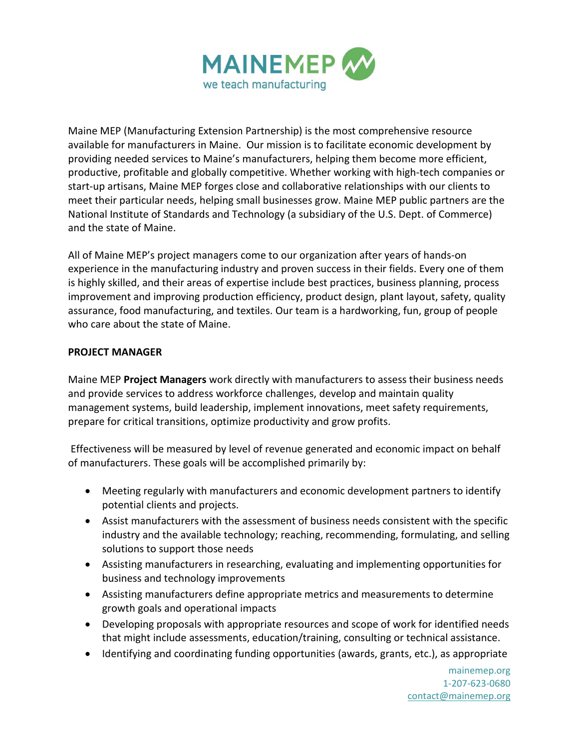

Maine MEP (Manufacturing Extension Partnership) is the most comprehensive resource available for manufacturers in Maine.Our mission is to facilitate economic development by providing needed services to Maine's manufacturers, helping them become more efficient, productive, profitable and globally competitive. Whether working with high-tech companies or start-up artisans, Maine MEP forges close and collaborative relationships with our clients to meet their particular needs, helping small businesses grow. Maine MEP public partners are the National Institute of Standards and Technology (a subsidiary of the U.S. Dept. of Commerce) and the state of Maine.

All of Maine MEP's project managers come to our organization after years of hands-on experience in the manufacturing industry and proven success in their fields. Every one of them is highly skilled, and their areas of expertise include best practices, business planning, process improvement and improving production efficiency, product design, plant layout, safety, quality assurance, food manufacturing, and textiles. Our team is a hardworking, fun, group of people who care about the state of Maine.

## **PROJECT MANAGER**

Maine MEP **Project Managers** work directly with manufacturers to assess their business needs and provide services to address workforce challenges, develop and maintain quality management systems, build leadership, implement innovations, meet safety requirements, prepare for critical transitions, optimize productivity and grow profits.

Effectiveness will be measured by level of revenue generated and economic impact on behalf of manufacturers. These goals will be accomplished primarily by:

- Meeting regularly with manufacturers and economic development partners to identify potential clients and projects.
- Assist manufacturers with the assessment of business needs consistent with the specific industry and the available technology; reaching, recommending, formulating, and selling solutions to support those needs
- Assisting manufacturers in researching, evaluating and implementing opportunities for business and technology improvements
- Assisting manufacturers define appropriate metrics and measurements to determine growth goals and operational impacts
- Developing proposals with appropriate resources and scope of work for identified needs that might include assessments, education/training, consulting or technical assistance.
- Identifying and coordinating funding opportunities (awards, grants, etc.), as appropriate